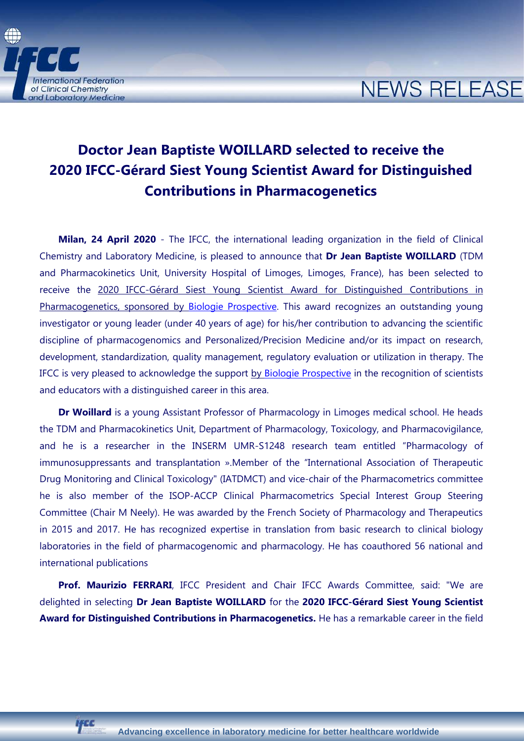

## **Doctor Jean Baptiste WOILLARD selected to receive the 2020 IFCC-Gérard Siest Young Scientist Award for Distinguished Contributions in Pharmacogenetics**

**NEWS RELEASE** 

**Milan, 24 April 2020** - The IFCC, the international leading organization in the field of Clinical Chemistry and Laboratory Medicine, is pleased to announce that **Dr Jean Baptiste WOILLARD** (TDM and Pharmacokinetics Unit, University Hospital of Limoges, Limoges, France), has been selected to receive the 2020 IFCC-Gérard Siest Young Scientist Award for Distinguished Contributions in Pharmacogenetics, sponsored by [Biologie Prospective.](http://www.biologie-prospective.org/index.aspx) This award recognizes an outstanding young investigator or young leader (under 40 years of age) for his/her contribution to advancing the scientific discipline of pharmacogenomics and Personalized/Precision Medicine and/or its impact on research, development, standardization, quality management, regulatory evaluation or utilization in therapy. The IFCC is very pleased to acknowledge the support by [Biologie Prospective](http://www.biologie-prospective.org/index.aspx) in the recognition of scientists and educators with a distinguished career in this area.

**Dr Woillard** is a young Assistant Professor of Pharmacology in Limoges medical school. He heads the TDM and Pharmacokinetics Unit, Department of Pharmacology, Toxicology, and Pharmacovigilance, and he is a researcher in the INSERM UMR-S1248 research team entitled "Pharmacology of immunosuppressants and transplantation ».Member of the "International Association of Therapeutic Drug Monitoring and Clinical Toxicology" (IATDMCT) and vice-chair of the Pharmacometrics committee he is also member of the ISOP-ACCP Clinical Pharmacometrics Special Interest Group Steering Committee (Chair M Neely). He was awarded by the French Society of Pharmacology and Therapeutics in 2015 and 2017. He has recognized expertise in translation from basic research to clinical biology laboratories in the field of pharmacogenomic and pharmacology. He has coauthored 56 national and international publications

**Prof. Maurizio FERRARI**, IFCC President and Chair IFCC Awards Committee, said: "We are delighted in selecting **Dr Jean Baptiste WOILLARD** for the **2020 IFCC-Gérard Siest Young Scientist Award for Distinguished Contributions in Pharmacogenetics.** He has a remarkable career in the field